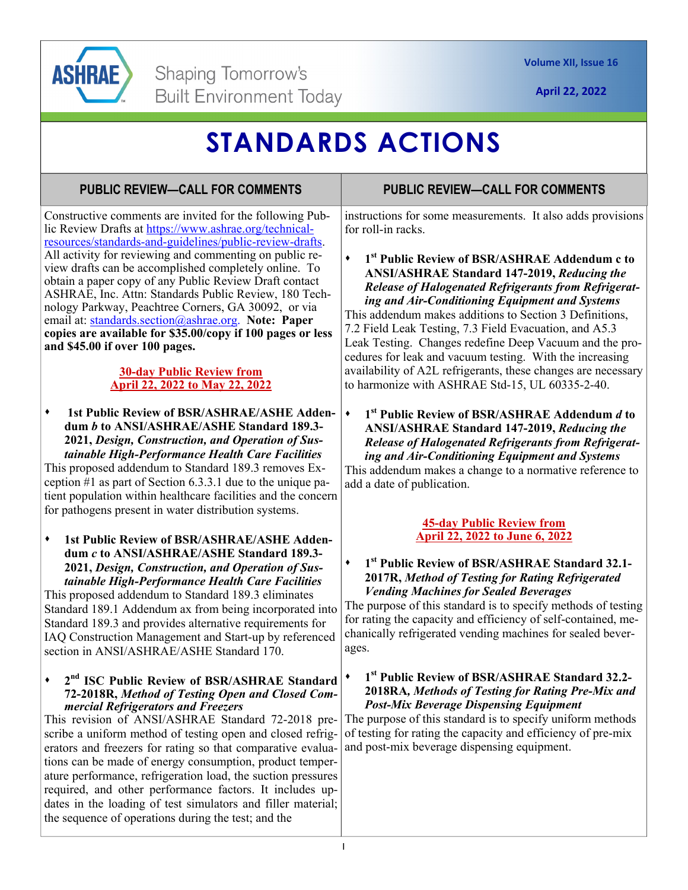

**April 22, 2022** 

# **STANDARDS ACTIONS**

# **PUBLIC REVIEW—CALL FOR COMMENTS**

Constructive comments are invited for the following Public Review Drafts at https://www.ashrae.org/technicalresources/standards-and-guidelines/public-review-drafts. All activity for reviewing and commenting on public review drafts can be accomplished completely online. To obtain a paper copy of any Public Review Draft contact ASHRAE, Inc. Attn: Standards Public Review, 180 Technology Parkway, Peachtree Corners, GA 30092, or via email at: standards.section@ashrae.org. **Note: Paper copies are available for \$35.00/copy if 100 pages or less and \$45.00 if over 100 pages.** 

### **30-day Public Review from April 22, 2022 to May 22, 2022**

 **1st Public Review of BSR/ASHRAE/ASHE Addendum** *b* **to ANSI/ASHRAE/ASHE Standard 189.3- 2021,** *Design, Construction, and Operation of Sustainable High-Performance Health Care Facilities*

This proposed addendum to Standard 189.3 removes Exception #1 as part of Section 6.3.3.1 due to the unique patient population within healthcare facilities and the concern for pathogens present in water distribution systems.

**1st Public Review of BSR/ASHRAE/ASHE Addendum** *c* **to ANSI/ASHRAE/ASHE Standard 189.3- 2021,** *Design, Construction, and Operation of Sustainable High-Performance Health Care Facilities*

This proposed addendum to Standard 189.3 eliminates Standard 189.1 Addendum ax from being incorporated into Standard 189.3 and provides alternative requirements for IAQ Construction Management and Start-up by referenced section in ANSI/ASHRAE/ASHE Standard 170.

### **2nd ISC Public Review of BSR/ASHRAE Standard 72-2018R,** *Method of Testing Open and Closed Commercial Refrigerators and Freezers*

This revision of ANSI/ASHRAE Standard 72-2018 prescribe a uniform method of testing open and closed refrigerators and freezers for rating so that comparative evaluations can be made of energy consumption, product temperature performance, refrigeration load, the suction pressures required, and other performance factors. It includes updates in the loading of test simulators and filler material; the sequence of operations during the test; and the

## **PUBLIC REVIEW—CALL FOR COMMENTS**

instructions for some measurements. It also adds provisions for roll-in racks.

**1st Public Review of BSR/ASHRAE Addendum c to ANSI/ASHRAE Standard 147-2019,** *Reducing the Release of Halogenated Refrigerants from Refrigerating and Air-Conditioning Equipment and Systems* This addendum makes additions to Section 3 Definitions, 7.2 Field Leak Testing, 7.3 Field Evacuation, and A5.3 Leak Testing. Changes redefine Deep Vacuum and the procedures for leak and vacuum testing. With the increasing availability of A2L refrigerants, these changes are necessary to harmonize with ASHRAE Std-15, UL 60335-2-40.

**1st Public Review of BSR/ASHRAE Addendum** *d* **to ANSI/ASHRAE Standard 147-2019,** *Reducing the Release of Halogenated Refrigerants from Refrigerating and Air-Conditioning Equipment and Systems* 

This addendum makes a change to a normative reference to add a date of publication.

#### **45-day Public Review from April 22, 2022 to June 6, 2022**

### **1st Public Review of BSR/ASHRAE Standard 32.1- 2017R,** *Method of Testing for Rating Refrigerated Vending Machines for Sealed Beverages*

The purpose of this standard is to specify methods of testing for rating the capacity and efficiency of self-contained, mechanically refrigerated vending machines for sealed beverages.

### **1st Public Review of BSR/ASHRAE Standard 32.2- 2018RA***, Methods of Testing for Rating Pre-Mix and Post-Mix Beverage Dispensing Equipment*

The purpose of this standard is to specify uniform methods of testing for rating the capacity and efficiency of pre-mix and post-mix beverage dispensing equipment.